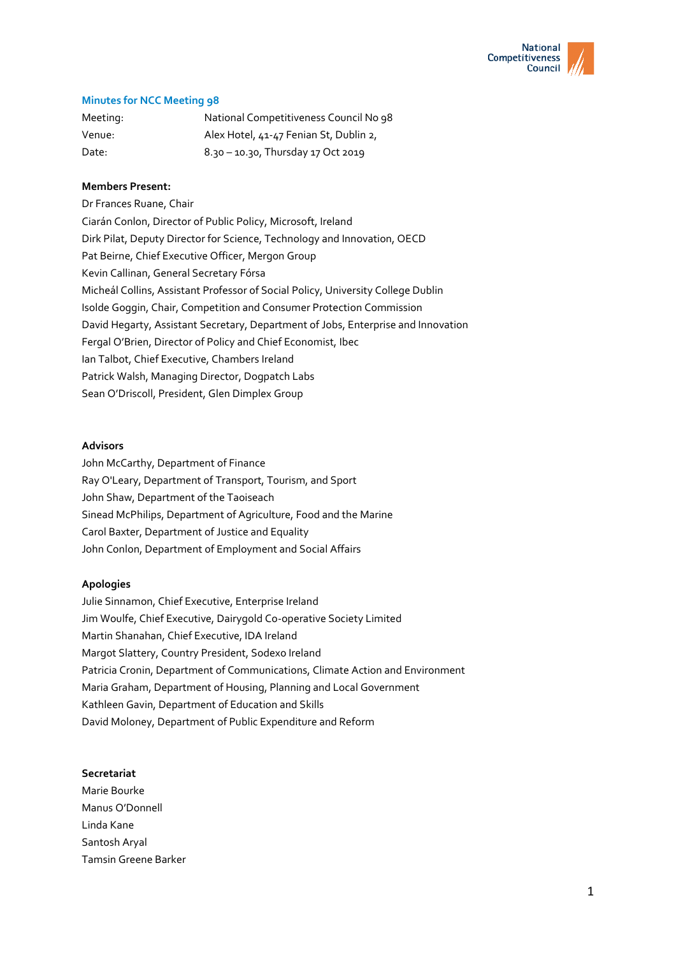

# **Minutes for NCC Meeting 98**

| Meeting: | National Competitiveness Council No 98 |
|----------|----------------------------------------|
| Venue:   | Alex Hotel, 41-47 Fenian St, Dublin 2, |
| Date:    | 8.30 - 10.30, Thursday 17 Oct 2019     |

# **Members Present:**

Dr Frances Ruane, Chair Ciarán Conlon, Director of Public Policy, Microsoft, Ireland Dirk Pilat, Deputy Director for Science, Technology and Innovation, OECD Pat Beirne, Chief Executive Officer, Mergon Group Kevin Callinan, General Secretary Fórsa Micheál Collins, Assistant Professor of Social Policy, University College Dublin Isolde Goggin, Chair, Competition and Consumer Protection Commission David Hegarty, Assistant Secretary, Department of Jobs, Enterprise and Innovation Fergal O'Brien, Director of Policy and Chief Economist, Ibec Ian Talbot, Chief Executive, Chambers Ireland Patrick Walsh, Managing Director, Dogpatch Labs Sean O'Driscoll, President, Glen Dimplex Group

### **Advisors**

John McCarthy, Department of Finance Ray O'Leary, Department of Transport, Tourism, and Sport John Shaw, Department of the Taoiseach Sinead McPhilips, Department of Agriculture, Food and the Marine Carol Baxter, Department of Justice and Equality John Conlon, Department of Employment and Social Affairs

### **Apologies**

Julie Sinnamon, Chief Executive, Enterprise Ireland Jim Woulfe, Chief Executive, Dairygold Co-operative Society Limited Martin Shanahan, Chief Executive, IDA Ireland Margot Slattery, Country President, Sodexo Ireland Patricia Cronin, Department of Communications, Climate Action and Environment Maria Graham, Department of Housing, Planning and Local Government Kathleen Gavin, Department of Education and Skills David Moloney, Department of Public Expenditure and Reform

#### **Secretariat**

Marie Bourke Manus O'Donnell Linda Kane Santosh Aryal Tamsin Greene Barker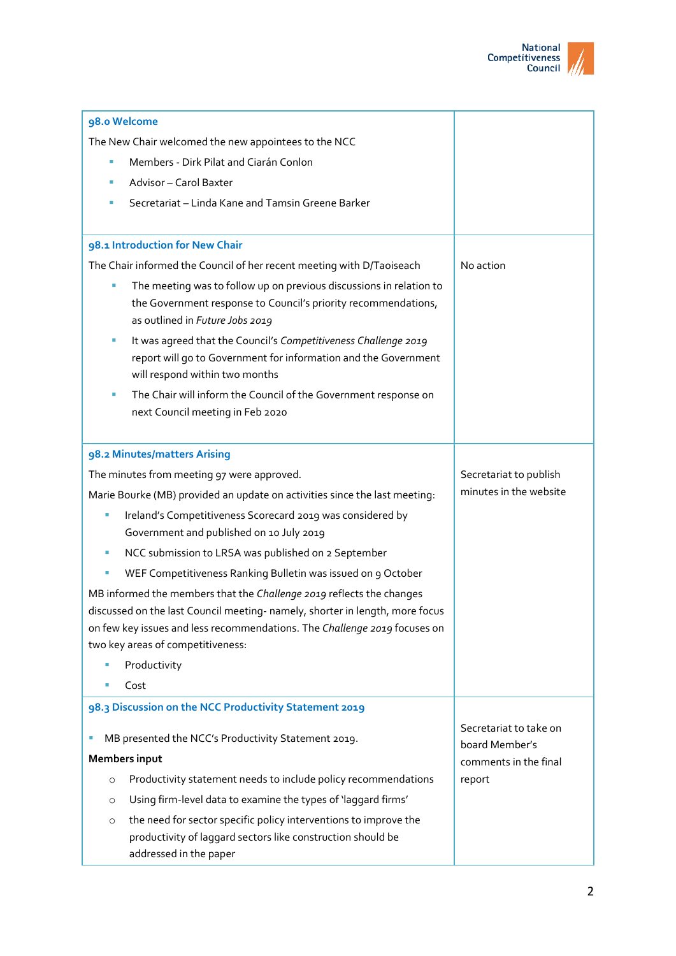

| 98.0 Welcome                                                                                      |                        |
|---------------------------------------------------------------------------------------------------|------------------------|
| The New Chair welcomed the new appointees to the NCC                                              |                        |
| Members - Dirk Pilat and Ciarán Conlon<br>×                                                       |                        |
| Advisor - Carol Baxter<br>ш                                                                       |                        |
| Secretariat - Linda Kane and Tamsin Greene Barker                                                 |                        |
|                                                                                                   |                        |
| 98.1 Introduction for New Chair                                                                   |                        |
| The Chair informed the Council of her recent meeting with D/Taoiseach                             | No action              |
| The meeting was to follow up on previous discussions in relation to<br>×                          |                        |
| the Government response to Council's priority recommendations,                                    |                        |
| as outlined in Future Jobs 2019                                                                   |                        |
| It was agreed that the Council's Competitiveness Challenge 2019<br>ш                              |                        |
| report will go to Government for information and the Government<br>will respond within two months |                        |
| The Chair will inform the Council of the Government response on                                   |                        |
| next Council meeting in Feb 2020                                                                  |                        |
|                                                                                                   |                        |
| 98.2 Minutes/matters Arising                                                                      |                        |
| The minutes from meeting 97 were approved.                                                        | Secretariat to publish |
| Marie Bourke (MB) provided an update on activities since the last meeting:                        | minutes in the website |
| Ireland's Competitiveness Scorecard 2019 was considered by                                        |                        |
| Government and published on 10 July 2019                                                          |                        |
| NCC submission to LRSA was published on 2 September                                               |                        |
| WEF Competitiveness Ranking Bulletin was issued on 9 October                                      |                        |
| MB informed the members that the Challenge 2019 reflects the changes                              |                        |
| discussed on the last Council meeting- namely, shorter in length, more focus                      |                        |
| on few key issues and less recommendations. The Challenge 2019 focuses on                         |                        |
| two key areas of competitiveness:                                                                 |                        |
| Productivity<br>Cost                                                                              |                        |
| 98.3 Discussion on the NCC Productivity Statement 2019                                            |                        |
|                                                                                                   | Secretariat to take on |
| MB presented the NCC's Productivity Statement 2019.<br>ш                                          | board Member's         |
| <b>Members input</b>                                                                              | comments in the final  |
| Productivity statement needs to include policy recommendations<br>$\circ$                         | report                 |
| Using firm-level data to examine the types of 'laggard firms'<br>O                                |                        |
| the need for sector specific policy interventions to improve the<br>$\circ$                       |                        |
| productivity of laggard sectors like construction should be                                       |                        |
| addressed in the paper                                                                            |                        |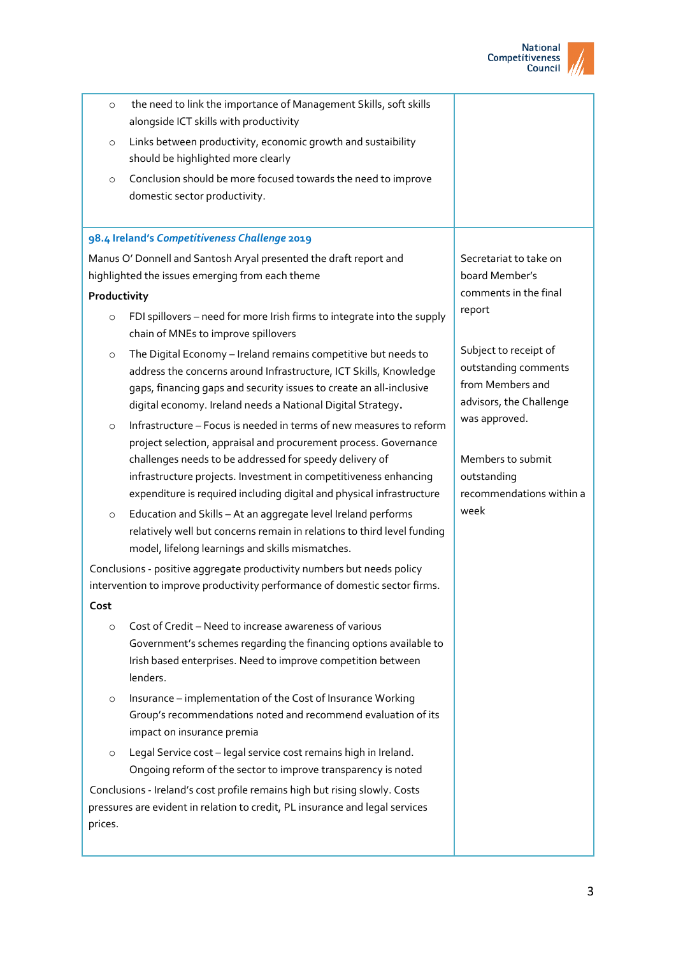

| $\circ$                                                                                                                                              | the need to link the importance of Management Skills, soft skills<br>alongside ICT skills with productivity                                                                                                                                                                                                                                     |                                                                                              |
|------------------------------------------------------------------------------------------------------------------------------------------------------|-------------------------------------------------------------------------------------------------------------------------------------------------------------------------------------------------------------------------------------------------------------------------------------------------------------------------------------------------|----------------------------------------------------------------------------------------------|
| $\circ$                                                                                                                                              | Links between productivity, economic growth and sustaibility<br>should be highlighted more clearly                                                                                                                                                                                                                                              |                                                                                              |
| $\circ$                                                                                                                                              | Conclusion should be more focused towards the need to improve<br>domestic sector productivity.                                                                                                                                                                                                                                                  |                                                                                              |
|                                                                                                                                                      | 98.4 Ireland's Competitiveness Challenge 2019                                                                                                                                                                                                                                                                                                   |                                                                                              |
|                                                                                                                                                      | Manus O' Donnell and Santosh Aryal presented the draft report and                                                                                                                                                                                                                                                                               | Secretariat to take on                                                                       |
|                                                                                                                                                      | highlighted the issues emerging from each theme                                                                                                                                                                                                                                                                                                 | board Member's                                                                               |
| Productivity                                                                                                                                         |                                                                                                                                                                                                                                                                                                                                                 | comments in the final                                                                        |
| $\circ$                                                                                                                                              | FDI spillovers - need for more Irish firms to integrate into the supply<br>chain of MNEs to improve spillovers                                                                                                                                                                                                                                  | report                                                                                       |
| $\circ$                                                                                                                                              | The Digital Economy - Ireland remains competitive but needs to<br>address the concerns around Infrastructure, ICT Skills, Knowledge<br>gaps, financing gaps and security issues to create an all-inclusive<br>digital economy. Ireland needs a National Digital Strategy.                                                                       | Subject to receipt of<br>outstanding comments<br>from Members and<br>advisors, the Challenge |
| $\circ$                                                                                                                                              | Infrastructure - Focus is needed in terms of new measures to reform<br>project selection, appraisal and procurement process. Governance<br>challenges needs to be addressed for speedy delivery of<br>infrastructure projects. Investment in competitiveness enhancing<br>expenditure is required including digital and physical infrastructure | was approved.<br>Members to submit<br>outstanding<br>recommendations within a                |
| $\circ$                                                                                                                                              | Education and Skills - At an aggregate level Ireland performs<br>relatively well but concerns remain in relations to third level funding<br>model, lifelong learnings and skills mismatches.                                                                                                                                                    | week                                                                                         |
| Conclusions - positive aggregate productivity numbers but needs policy<br>intervention to improve productivity performance of domestic sector firms. |                                                                                                                                                                                                                                                                                                                                                 |                                                                                              |
| Cost                                                                                                                                                 |                                                                                                                                                                                                                                                                                                                                                 |                                                                                              |
| $\circ$                                                                                                                                              | Cost of Credit - Need to increase awareness of various<br>Government's schemes regarding the financing options available to<br>Irish based enterprises. Need to improve competition between<br>lenders.                                                                                                                                         |                                                                                              |
| $\circ$                                                                                                                                              | Insurance - implementation of the Cost of Insurance Working<br>Group's recommendations noted and recommend evaluation of its<br>impact on insurance premia                                                                                                                                                                                      |                                                                                              |
| $\circ$                                                                                                                                              | Legal Service cost - legal service cost remains high in Ireland.<br>Ongoing reform of the sector to improve transparency is noted                                                                                                                                                                                                               |                                                                                              |
|                                                                                                                                                      | Conclusions - Ireland's cost profile remains high but rising slowly. Costs                                                                                                                                                                                                                                                                      |                                                                                              |
| prices.                                                                                                                                              | pressures are evident in relation to credit, PL insurance and legal services                                                                                                                                                                                                                                                                    |                                                                                              |
|                                                                                                                                                      |                                                                                                                                                                                                                                                                                                                                                 |                                                                                              |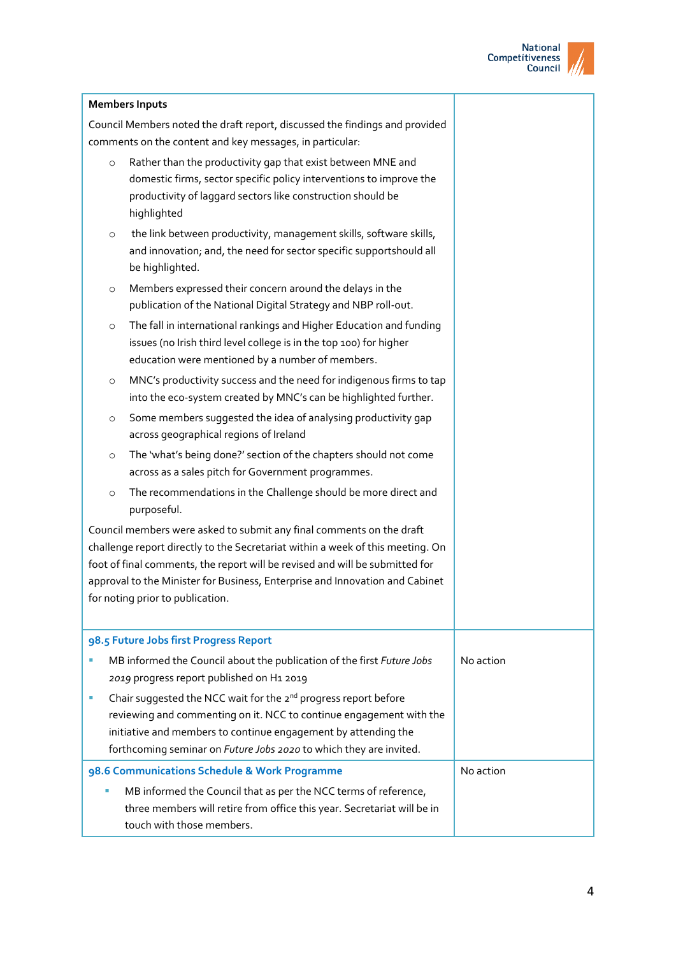

|                                                                                                                                                                                                                                                                                                 | <b>Members Inputs</b>                                                                                                                                                                                                                                                                                                                                      |           |
|-------------------------------------------------------------------------------------------------------------------------------------------------------------------------------------------------------------------------------------------------------------------------------------------------|------------------------------------------------------------------------------------------------------------------------------------------------------------------------------------------------------------------------------------------------------------------------------------------------------------------------------------------------------------|-----------|
|                                                                                                                                                                                                                                                                                                 | Council Members noted the draft report, discussed the findings and provided<br>comments on the content and key messages, in particular:                                                                                                                                                                                                                    |           |
| $\circ$                                                                                                                                                                                                                                                                                         | Rather than the productivity gap that exist between MNE and<br>domestic firms, sector specific policy interventions to improve the<br>productivity of laggard sectors like construction should be<br>highlighted                                                                                                                                           |           |
| $\circ$                                                                                                                                                                                                                                                                                         | the link between productivity, management skills, software skills,<br>and innovation; and, the need for sector specific supportshould all<br>be highlighted.                                                                                                                                                                                               |           |
| $\circ$                                                                                                                                                                                                                                                                                         | Members expressed their concern around the delays in the<br>publication of the National Digital Strategy and NBP roll-out.                                                                                                                                                                                                                                 |           |
| $\circ$                                                                                                                                                                                                                                                                                         | The fall in international rankings and Higher Education and funding<br>issues (no Irish third level college is in the top 100) for higher<br>education were mentioned by a number of members.                                                                                                                                                              |           |
| $\circ$                                                                                                                                                                                                                                                                                         | MNC's productivity success and the need for indigenous firms to tap<br>into the eco-system created by MNC's can be highlighted further.                                                                                                                                                                                                                    |           |
| $\circ$                                                                                                                                                                                                                                                                                         | Some members suggested the idea of analysing productivity gap<br>across geographical regions of Ireland                                                                                                                                                                                                                                                    |           |
| $\circ$                                                                                                                                                                                                                                                                                         | The 'what's being done?' section of the chapters should not come<br>across as a sales pitch for Government programmes.                                                                                                                                                                                                                                     |           |
| $\circ$                                                                                                                                                                                                                                                                                         | The recommendations in the Challenge should be more direct and<br>purposeful.                                                                                                                                                                                                                                                                              |           |
|                                                                                                                                                                                                                                                                                                 | Council members were asked to submit any final comments on the draft<br>challenge report directly to the Secretariat within a week of this meeting. On<br>foot of final comments, the report will be revised and will be submitted for<br>approval to the Minister for Business, Enterprise and Innovation and Cabinet<br>for noting prior to publication. |           |
|                                                                                                                                                                                                                                                                                                 | 98.5 Future Jobs first Progress Report                                                                                                                                                                                                                                                                                                                     |           |
|                                                                                                                                                                                                                                                                                                 | MB informed the Council about the publication of the first Future Jobs<br>2019 progress report published on H1 2019                                                                                                                                                                                                                                        | No action |
| Chair suggested the NCC wait for the 2 <sup>nd</sup> progress report before<br>×<br>reviewing and commenting on it. NCC to continue engagement with the<br>initiative and members to continue engagement by attending the<br>forthcoming seminar on Future Jobs 2020 to which they are invited. |                                                                                                                                                                                                                                                                                                                                                            |           |
|                                                                                                                                                                                                                                                                                                 | 98.6 Communications Schedule & Work Programme                                                                                                                                                                                                                                                                                                              | No action |
|                                                                                                                                                                                                                                                                                                 | MB informed the Council that as per the NCC terms of reference,<br>three members will retire from office this year. Secretariat will be in<br>touch with those members.                                                                                                                                                                                    |           |